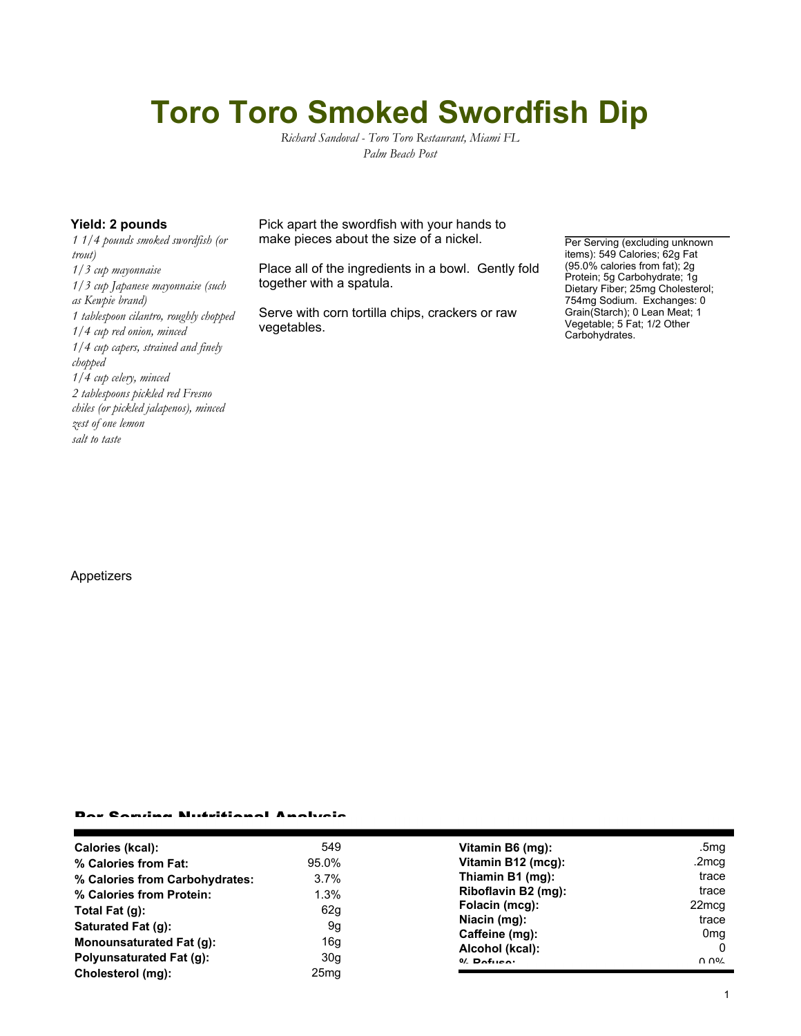# **Toro Toro Smoked Swordfish Dip**

*Richard Sandoval - Toro Toro Restaurant, Miami FL Palm Beach Post*

*1 1/4 pounds smoked swordfish (or trout) 1/3 cup mayonnaise 1/3 cup Japanese mayonnaise (such as Kewpie brand) 1 tablespoon cilantro, roughly chopped 1/4 cup red onion, minced 1/4 cup capers, strained and finely chopped 1/4 cup celery, minced 2 tablespoons pickled red Fresno chiles (or pickled jalapenos), minced zest of one lemon salt to taste*

**Yield: 2 pounds** Pick apart the swordfish with your hands to make pieces about the size of a nickel.

> Place all of the ingredients in a bowl. Gently fold together with a spatula.

Serve with corn tortilla chips, crackers or raw vegetables.

Per Serving (excluding unknown items): 549 Calories; 62g Fat (95.0% calories from fat); 2g Protein; 5g Carbohydrate; 1g Dietary Fiber; 25mg Cholesterol; 754mg Sodium. Exchanges: 0 Grain(Starch); 0 Lean Meat; 1 Vegetable; 5 Fat; 1/2 Other Carbohydrates.

### Appetizers

#### Per Serving Nutritional Analysis

| Calories (kcal):                | 549              | Vitamin B6 (mg):    | .5mg                                  |
|---------------------------------|------------------|---------------------|---------------------------------------|
| % Calories from Fat:            | 95.0%            | Vitamin B12 (mcg):  | .2mcg                                 |
| % Calories from Carbohydrates:  | $3.7\%$          | Thiamin B1 (mg):    | trace                                 |
| % Calories from Protein:        | 1.3%             | Riboflavin B2 (mg): | trace                                 |
| Total Fat $(g)$ :               | 62g              | Folacin (mcg):      | 22 <sub>mcq</sub>                     |
| Saturated Fat (g):              | 9g               | Niacin (mg):        | trace                                 |
|                                 |                  | Caffeine (mg):      | 0 <sub>mq</sub>                       |
| <b>Monounsaturated Fat (g):</b> | 16g              | Alcohol (kcal):     |                                       |
| Polyunsaturated Fat (g):        | 30g              | $0/2$ Pofileo:      | $\Omega$ $\Omega$ <sup>o</sup> $\sim$ |
| Cholesterol (mg):               | 25 <sub>mg</sub> |                     |                                       |